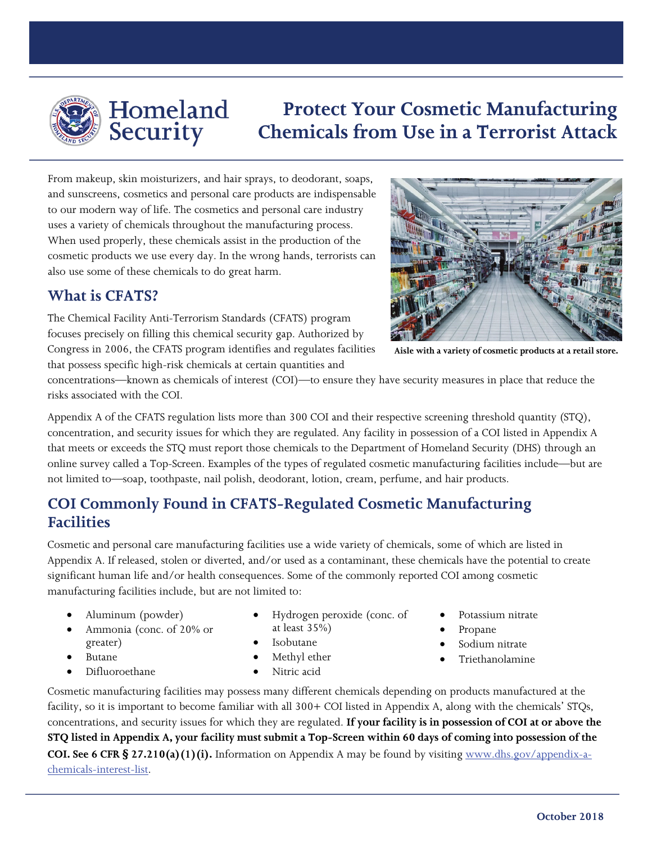

## Homeland Security

# **Protect Your Cosmetic Manufacturing Chemicals from Use in a Terrorist Attack**

From makeup, skin moisturizers, and hair sprays, to deodorant, soaps, and sunscreens, cosmetics and personal care products are indispensable to our modern way of life. The cosmetics and personal care industry uses a variety of chemicals throughout the manufacturing process. When used properly, these chemicals assist in the production of the cosmetic products we use every day. In the wrong hands, terrorists can also use some of these chemicals to do great harm.

#### **What is CFATS?**

The Chemical Facility Anti-Terrorism Standards (CFATS) program focuses precisely on filling this chemical security gap. Authorized by Congress in 2006, the CFATS program identifies and regulates facilities that possess specific high-risk chemicals at certain quantities and



**Aisle with a variety of cosmetic products at a retail store.**

concentrations—known as chemicals of interest (COI)—to ensure they have security measures in place that reduce the risks associated with the COI.

Appendix A of the CFATS regulation lists more than 300 COI and their respective screening threshold quantity (STQ), concentration, and security issues for which they are regulated. Any facility in possession of a COI listed in Appendix A that meets or exceeds the STQ must report those chemicals to the Department of Homeland Security (DHS) through an online survey called a Top-Screen. Examples of the types of regulated cosmetic manufacturing facilities include—but are not limited to—soap, toothpaste, nail polish, deodorant, lotion, cream, perfume, and hair products.

#### **COI Commonly Found in CFATS-Regulated Cosmetic Manufacturing Facilities**

Cosmetic and personal care manufacturing facilities use a wide variety of chemicals, some of which are listed in Appendix A. If released, stolen or diverted, and/or used as a contaminant, these chemicals have the potential to create significant human life and/or health consequences. Some of the commonly reported COI among cosmetic manufacturing facilities include, but are not limited to:

- Aluminum (powder)
	- Ammonia (conc. of 20% or greater)
- Butane
- 
- Difluoroethane
- Hydrogen peroxide (conc. of at least 35%)
- Isobutane
- Methyl ether
- Nitric acid
- Cosmetic manufacturing facilities may possess many different chemicals depending on products manufactured at the facility, so it is important to become familiar with all 300+ COI listed in Appendix A, along with the chemicals' STQs, concentrations, and security issues for which they are regulated. **If your facility is in possession of COI at or above the STQ listed in Appendix A, your facility must submit a Top-Screen within 60 days of coming into possession of the COI. See 6 CFR § 27.210(a)(1)(i).** Information on Appendix A may be found by visiting [www.dhs.gov/appendix-a](http://www.dhs.gov/appendix-a-chemicals-interest-list)[chemicals-interest-list.](http://www.dhs.gov/appendix-a-chemicals-interest-list)
- Potassium nitrate
- Propane
- Sodium nitrate
- Triethanolamine